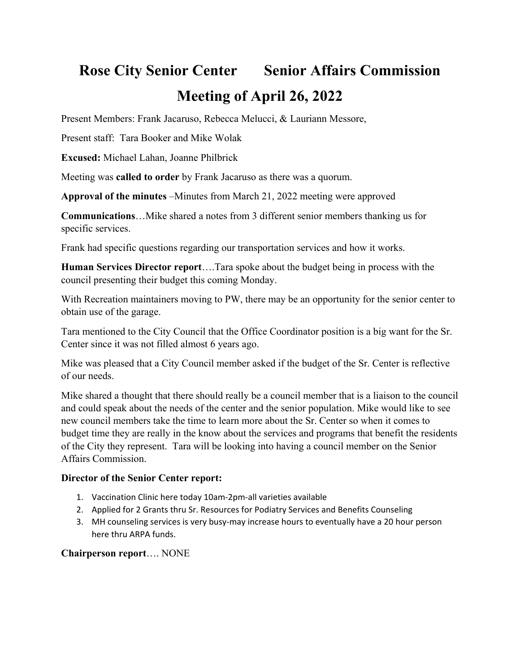## **Rose City Senior Center Senior Affairs Commission Meeting of April 26, 2022**

Present Members: Frank Jacaruso, Rebecca Melucci, & Lauriann Messore,

Present staff: Tara Booker and Mike Wolak

**Excused:** Michael Lahan, Joanne Philbrick

Meeting was **called to order** by Frank Jacaruso as there was a quorum.

**Approval of the minutes** –Minutes from March 21, 2022 meeting were approved

**Communications**…Mike shared a notes from 3 different senior members thanking us for specific services.

Frank had specific questions regarding our transportation services and how it works.

**Human Services Director report**….Tara spoke about the budget being in process with the council presenting their budget this coming Monday.

With Recreation maintainers moving to PW, there may be an opportunity for the senior center to obtain use of the garage.

Tara mentioned to the City Council that the Office Coordinator position is a big want for the Sr. Center since it was not filled almost 6 years ago.

Mike was pleased that a City Council member asked if the budget of the Sr. Center is reflective of our needs.

Mike shared a thought that there should really be a council member that is a liaison to the council and could speak about the needs of the center and the senior population. Mike would like to see new council members take the time to learn more about the Sr. Center so when it comes to budget time they are really in the know about the services and programs that benefit the residents of the City they represent. Tara will be looking into having a council member on the Senior Affairs Commission.

## **Director of the Senior Center report:**

- 1. Vaccination Clinic here today 10am‐2pm‐all varieties available
- 2. Applied for 2 Grants thru Sr. Resources for Podiatry Services and Benefits Counseling
- 3. MH counseling services is very busy‐may increase hours to eventually have a 20 hour person here thru ARPA funds.

## **Chairperson report**…. NONE